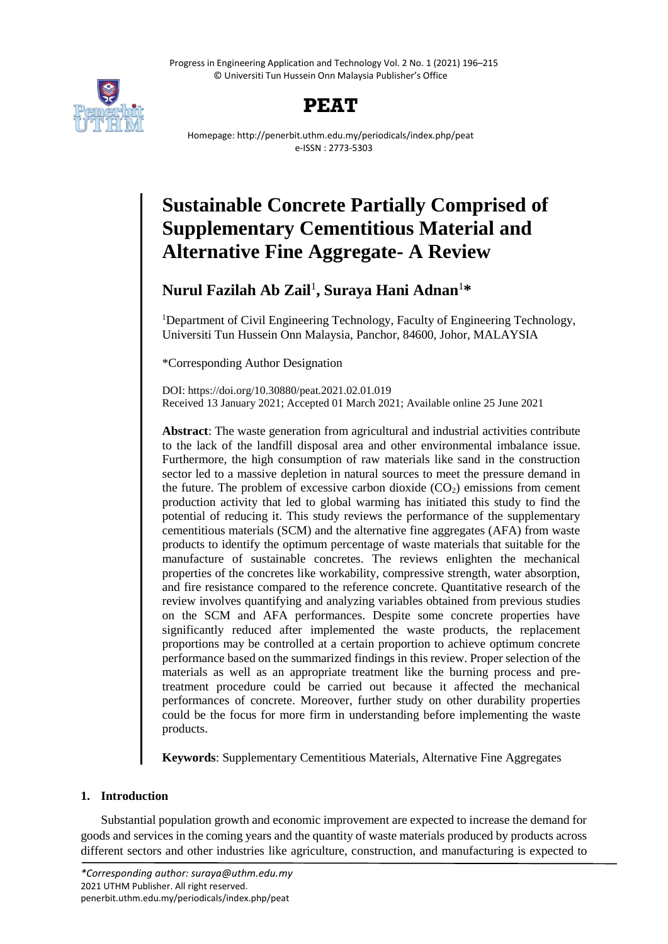Progress in Engineering Application and Technology Vol. 2 No. 1 (2021) 196–215 © Universiti Tun Hussein Onn Malaysia Publisher's Office





Homepage: http://penerbit.uthm.edu.my/periodicals/index.php/peat e-ISSN : 2773-5303

# **Sustainable Concrete Partially Comprised of Supplementary Cementitious Material and Alternative Fine Aggregate- A Review**

# **Nurul Fazilah Ab Zail**<sup>1</sup> **, Suraya Hani Adnan**<sup>1</sup>**\***

<sup>1</sup>Department of Civil Engineering Technology, Faculty of Engineering Technology, Universiti Tun Hussein Onn Malaysia, Panchor, 84600, Johor, MALAYSIA

\*Corresponding Author Designation

DOI: https://doi.org/10.30880/peat.2021.02.01.019 Received 13 January 2021; Accepted 01 March 2021; Available online 25 June 2021

**Abstract**: The waste generation from agricultural and industrial activities contribute to the lack of the landfill disposal area and other environmental imbalance issue. Furthermore, the high consumption of raw materials like sand in the construction sector led to a massive depletion in natural sources to meet the pressure demand in the future. The problem of excessive carbon dioxide  $(CO<sub>2</sub>)$  emissions from cement production activity that led to global warming has initiated this study to find the potential of reducing it. This study reviews the performance of the supplementary cementitious materials (SCM) and the alternative fine aggregates (AFA) from waste products to identify the optimum percentage of waste materials that suitable for the manufacture of sustainable concretes. The reviews enlighten the mechanical properties of the concretes like workability, compressive strength, water absorption, and fire resistance compared to the reference concrete. Quantitative research of the review involves quantifying and analyzing variables obtained from previous studies on the SCM and AFA performances. Despite some concrete properties have significantly reduced after implemented the waste products, the replacement proportions may be controlled at a certain proportion to achieve optimum concrete performance based on the summarized findings in this review. Proper selection of the materials as well as an appropriate treatment like the burning process and pretreatment procedure could be carried out because it affected the mechanical performances of concrete. Moreover, further study on other durability properties could be the focus for more firm in understanding before implementing the waste products.

**Keywords**: Supplementary Cementitious Materials, Alternative Fine Aggregates

# **1. Introduction**

Substantial population growth and economic improvement are expected to increase the demand for goods and services in the coming years and the quantity of waste materials produced by products across different sectors and other industries like agriculture, construction, and manufacturing is expected to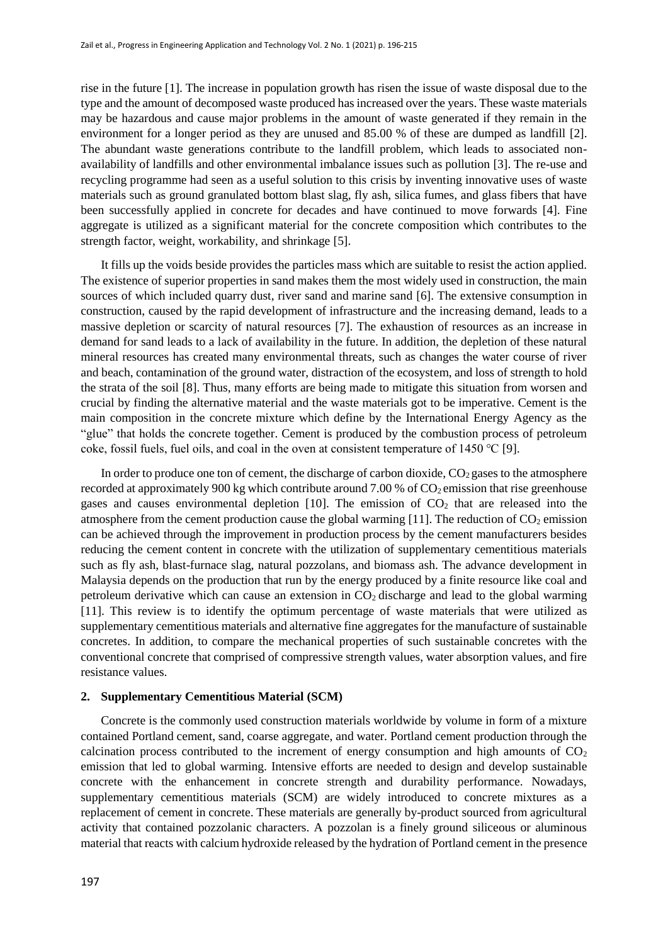rise in the future [1]. The increase in population growth has risen the issue of waste disposal due to the type and the amount of decomposed waste produced has increased over the years. These waste materials may be hazardous and cause major problems in the amount of waste generated if they remain in the environment for a longer period as they are unused and 85.00 % of these are dumped as landfill [2]. The abundant waste generations contribute to the landfill problem, which leads to associated nonavailability of landfills and other environmental imbalance issues such as pollution [3]. The re-use and recycling programme had seen as a useful solution to this crisis by inventing innovative uses of waste materials such as ground granulated bottom blast slag, fly ash, silica fumes, and glass fibers that have been successfully applied in concrete for decades and have continued to move forwards [4]. Fine aggregate is utilized as a significant material for the concrete composition which contributes to the strength factor, weight, workability, and shrinkage [5].

It fills up the voids beside provides the particles mass which are suitable to resist the action applied. The existence of superior properties in sand makes them the most widely used in construction, the main sources of which included quarry dust, river sand and marine sand [6]. The extensive consumption in construction, caused by the rapid development of infrastructure and the increasing demand, leads to a massive depletion or scarcity of natural resources [7]. The exhaustion of resources as an increase in demand for sand leads to a lack of availability in the future. In addition, the depletion of these natural mineral resources has created many environmental threats, such as changes the water course of river and beach, contamination of the ground water, distraction of the ecosystem, and loss of strength to hold the strata of the soil [8]. Thus, many efforts are being made to mitigate this situation from worsen and crucial by finding the alternative material and the waste materials got to be imperative. Cement is the main composition in the concrete mixture which define by the International Energy Agency as the "glue" that holds the concrete together. Cement is produced by the combustion process of petroleum coke, fossil fuels, fuel oils, and coal in the oven at consistent temperature of 1450 ℃ [9].

In order to produce one ton of cement, the discharge of carbon dioxide,  $CO<sub>2</sub>$  gases to the atmosphere recorded at approximately 900 kg which contribute around 7.00 % of  $CO<sub>2</sub>$  emission that rise greenhouse gases and causes environmental depletion  $[10]$ . The emission of  $CO<sub>2</sub>$  that are released into the atmosphere from the cement production cause the global warming  $[11]$ . The reduction of  $CO<sub>2</sub>$  emission can be achieved through the improvement in production process by the cement manufacturers besides reducing the cement content in concrete with the utilization of supplementary cementitious materials such as fly ash, blast-furnace slag, natural pozzolans, and biomass ash. The advance development in Malaysia depends on the production that run by the energy produced by a finite resource like coal and petroleum derivative which can cause an extension in  $CO<sub>2</sub>$  discharge and lead to the global warming [11]. This review is to identify the optimum percentage of waste materials that were utilized as supplementary cementitious materials and alternative fine aggregates for the manufacture of sustainable concretes. In addition, to compare the mechanical properties of such sustainable concretes with the conventional concrete that comprised of compressive strength values, water absorption values, and fire resistance values.

### **2. Supplementary Cementitious Material (SCM)**

Concrete is the commonly used construction materials worldwide by volume in form of a mixture contained Portland cement, sand, coarse aggregate, and water. Portland cement production through the calcination process contributed to the increment of energy consumption and high amounts of  $CO<sub>2</sub>$ emission that led to global warming. Intensive efforts are needed to design and develop sustainable concrete with the enhancement in concrete strength and durability performance. Nowadays, supplementary cementitious materials (SCM) are widely introduced to concrete mixtures as a replacement of cement in concrete. These materials are generally by-product sourced from agricultural activity that contained pozzolanic characters. A pozzolan is a finely ground siliceous or aluminous material that reacts with calcium hydroxide released by the hydration of Portland cement in the presence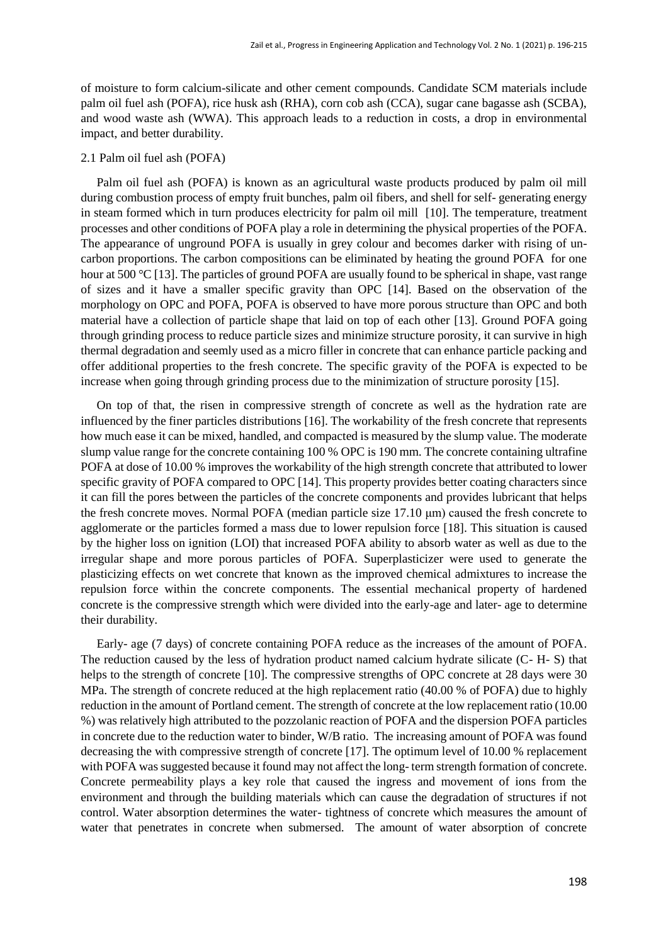of moisture to form calcium-silicate and other cement compounds. Candidate SCM materials include palm oil fuel ash (POFA), rice husk ash (RHA), corn cob ash (CCA), sugar cane bagasse ash (SCBA), and wood waste ash (WWA). This approach leads to a reduction in costs, a drop in environmental impact, and better durability.

## 2.1 Palm oil fuel ash (POFA)

Palm oil fuel ash (POFA) is known as an agricultural waste products produced by palm oil mill during combustion process of empty fruit bunches, palm oil fibers, and shell for self- generating energy in steam formed which in turn produces electricity for palm oil mill [10]. The temperature, treatment processes and other conditions of POFA play a role in determining the physical properties of the POFA. The appearance of unground POFA is usually in grey colour and becomes darker with rising of uncarbon proportions. The carbon compositions can be eliminated by heating the ground POFA for one hour at 500 °C [13]. The particles of ground POFA are usually found to be spherical in shape, vast range of sizes and it have a smaller specific gravity than OPC [14]. Based on the observation of the morphology on OPC and POFA, POFA is observed to have more porous structure than OPC and both material have a collection of particle shape that laid on top of each other [13]. Ground POFA going through grinding process to reduce particle sizes and minimize structure porosity, it can survive in high thermal degradation and seemly used as a micro filler in concrete that can enhance particle packing and offer additional properties to the fresh concrete. The specific gravity of the POFA is expected to be increase when going through grinding process due to the minimization of structure porosity [15].

On top of that, the risen in compressive strength of concrete as well as the hydration rate are influenced by the finer particles distributions [16]. The workability of the fresh concrete that represents how much ease it can be mixed, handled, and compacted is measured by the slump value. The moderate slump value range for the concrete containing 100 % OPC is 190 mm. The concrete containing ultrafine POFA at dose of 10.00 % improves the workability of the high strength concrete that attributed to lower specific gravity of POFA compared to OPC [14]. This property provides better coating characters since it can fill the pores between the particles of the concrete components and provides lubricant that helps the fresh concrete moves. Normal POFA (median particle size 17.10 μm) caused the fresh concrete to agglomerate or the particles formed a mass due to lower repulsion force [18]. This situation is caused by the higher loss on ignition (LOI) that increased POFA ability to absorb water as well as due to the irregular shape and more porous particles of POFA. Superplasticizer were used to generate the plasticizing effects on wet concrete that known as the improved chemical admixtures to increase the repulsion force within the concrete components. The essential mechanical property of hardened concrete is the compressive strength which were divided into the early-age and later- age to determine their durability.

Early- age (7 days) of concrete containing POFA reduce as the increases of the amount of POFA. The reduction caused by the less of hydration product named calcium hydrate silicate (C- H- S) that helps to the strength of concrete [10]. The compressive strengths of OPC concrete at 28 days were 30 MPa. The strength of concrete reduced at the high replacement ratio (40.00 % of POFA) due to highly reduction in the amount of Portland cement. The strength of concrete at the low replacement ratio (10.00 %) was relatively high attributed to the pozzolanic reaction of POFA and the dispersion POFA particles in concrete due to the reduction water to binder, W/B ratio. The increasing amount of POFA was found decreasing the with compressive strength of concrete [17]. The optimum level of 10.00 % replacement with POFA was suggested because it found may not affect the long- term strength formation of concrete. Concrete permeability plays a key role that caused the ingress and movement of ions from the environment and through the building materials which can cause the degradation of structures if not control. Water absorption determines the water- tightness of concrete which measures the amount of water that penetrates in concrete when submersed. The amount of water absorption of concrete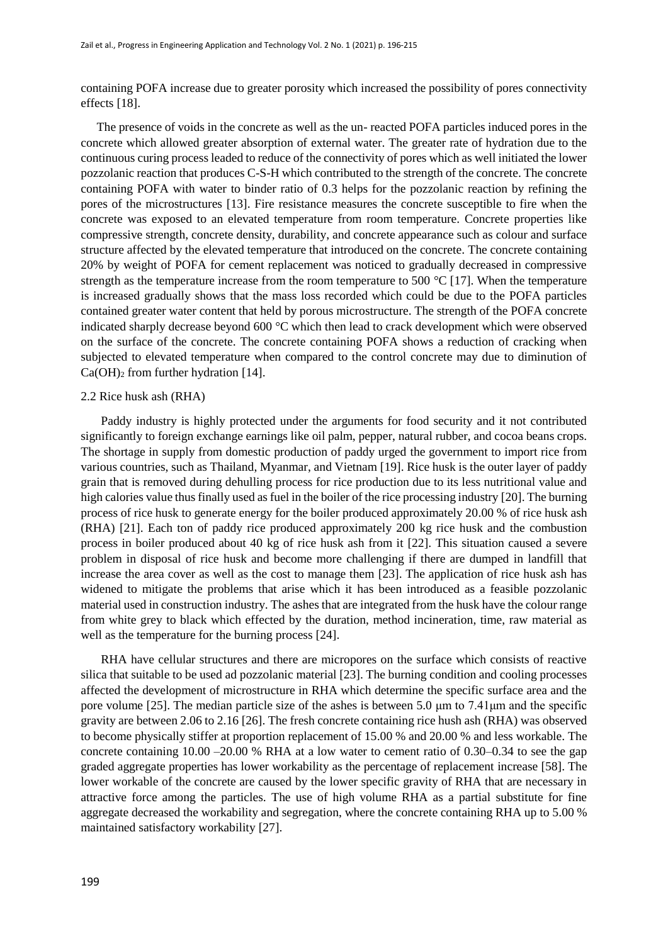containing POFA increase due to greater porosity which increased the possibility of pores connectivity effects [18].

The presence of voids in the concrete as well as the un- reacted POFA particles induced pores in the concrete which allowed greater absorption of external water. The greater rate of hydration due to the continuous curing process leaded to reduce of the connectivity of pores which as well initiated the lower pozzolanic reaction that produces C-S-H which contributed to the strength of the concrete. The concrete containing POFA with water to binder ratio of 0.3 helps for the pozzolanic reaction by refining the pores of the microstructures [13]. Fire resistance measures the concrete susceptible to fire when the concrete was exposed to an elevated temperature from room temperature. Concrete properties like compressive strength, concrete density, durability, and concrete appearance such as colour and surface structure affected by the elevated temperature that introduced on the concrete. The concrete containing 20% by weight of POFA for cement replacement was noticed to gradually decreased in compressive strength as the temperature increase from the room temperature to 500 °C [17]. When the temperature is increased gradually shows that the mass loss recorded which could be due to the POFA particles contained greater water content that held by porous microstructure. The strength of the POFA concrete indicated sharply decrease beyond 600 °C which then lead to crack development which were observed on the surface of the concrete. The concrete containing POFA shows a reduction of cracking when subjected to elevated temperature when compared to the control concrete may due to diminution of  $Ca(OH)<sub>2</sub>$  from further hydration [14].

### 2.2 Rice husk ash (RHA)

Paddy industry is highly protected under the arguments for food security and it not contributed significantly to foreign exchange earnings like oil palm, pepper, natural rubber, and cocoa beans crops. The shortage in supply from domestic production of paddy urged the government to import rice from various countries, such as Thailand, Myanmar, and Vietnam [19]. Rice husk is the outer layer of paddy grain that is removed during dehulling process for rice production due to its less nutritional value and high calories value thus finally used as fuel in the boiler of the rice processing industry [20]. The burning process of rice husk to generate energy for the boiler produced approximately 20.00 % of rice husk ash (RHA) [21]. Each ton of paddy rice produced approximately 200 kg rice husk and the combustion process in boiler produced about 40 kg of rice husk ash from it [22]. This situation caused a severe problem in disposal of rice husk and become more challenging if there are dumped in landfill that increase the area cover as well as the cost to manage them [23]. The application of rice husk ash has widened to mitigate the problems that arise which it has been introduced as a feasible pozzolanic material used in construction industry. The ashes that are integrated from the husk have the colour range from white grey to black which effected by the duration, method incineration, time, raw material as well as the temperature for the burning process [24].

RHA have cellular structures and there are micropores on the surface which consists of reactive silica that suitable to be used ad pozzolanic material [23]. The burning condition and cooling processes affected the development of microstructure in RHA which determine the specific surface area and the pore volume [25]. The median particle size of the ashes is between 5.0 μm to 7.41μm and the specific gravity are between 2.06 to 2.16 [26]. The fresh concrete containing rice hush ash (RHA) was observed to become physically stiffer at proportion replacement of 15.00 % and 20.00 % and less workable. The concrete containing 10.00 –20.00 % RHA at a low water to cement ratio of 0.30–0.34 to see the gap graded aggregate properties has lower workability as the percentage of replacement increase [58]. The lower workable of the concrete are caused by the lower specific gravity of RHA that are necessary in attractive force among the particles. The use of high volume RHA as a partial substitute for fine aggregate decreased the workability and segregation, where the concrete containing RHA up to 5.00 % maintained satisfactory workability [27].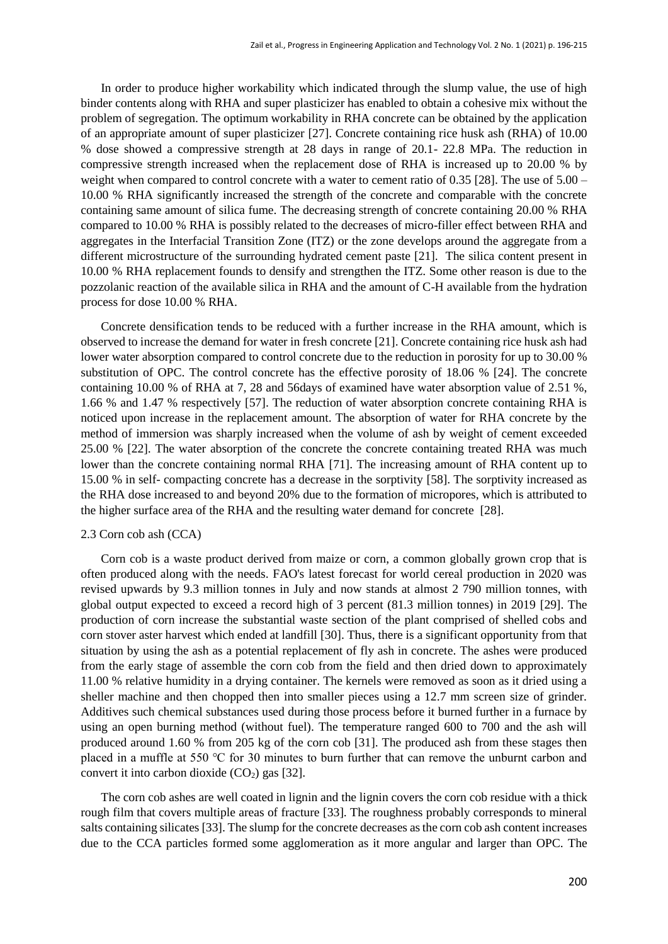In order to produce higher workability which indicated through the slump value, the use of high binder contents along with RHA and super plasticizer has enabled to obtain a cohesive mix without the problem of segregation. The optimum workability in RHA concrete can be obtained by the application of an appropriate amount of super plasticizer [27]. Concrete containing rice husk ash (RHA) of 10.00 % dose showed a compressive strength at 28 days in range of 20.1- 22.8 MPa. The reduction in compressive strength increased when the replacement dose of RHA is increased up to 20.00 % by weight when compared to control concrete with a water to cement ratio of 0.35 [28]. The use of  $5.00 -$ 10.00 % RHA significantly increased the strength of the concrete and comparable with the concrete containing same amount of silica fume. The decreasing strength of concrete containing 20.00 % RHA compared to 10.00 % RHA is possibly related to the decreases of micro-filler effect between RHA and aggregates in the Interfacial Transition Zone (ITZ) or the zone develops around the aggregate from a different microstructure of the surrounding hydrated cement paste [21]. The silica content present in 10.00 % RHA replacement founds to densify and strengthen the ITZ. Some other reason is due to the pozzolanic reaction of the available silica in RHA and the amount of C-H available from the hydration process for dose 10.00 % RHA.

Concrete densification tends to be reduced with a further increase in the RHA amount, which is observed to increase the demand for water in fresh concrete [21]. Concrete containing rice husk ash had lower water absorption compared to control concrete due to the reduction in porosity for up to 30.00 % substitution of OPC. The control concrete has the effective porosity of 18.06 % [24]. The concrete containing 10.00 % of RHA at 7, 28 and 56days of examined have water absorption value of 2.51 %, 1.66 % and 1.47 % respectively [57]. The reduction of water absorption concrete containing RHA is noticed upon increase in the replacement amount. The absorption of water for RHA concrete by the method of immersion was sharply increased when the volume of ash by weight of cement exceeded 25.00 % [22]. The water absorption of the concrete the concrete containing treated RHA was much lower than the concrete containing normal RHA [71]. The increasing amount of RHA content up to 15.00 % in self- compacting concrete has a decrease in the sorptivity [58]. The sorptivity increased as the RHA dose increased to and beyond 20% due to the formation of micropores, which is attributed to the higher surface area of the RHA and the resulting water demand for concrete [28].

## 2.3 Corn cob ash (CCA)

Corn cob is a waste product derived from maize or corn, a common globally grown crop that is often produced along with the needs. FAO's latest forecast for world cereal production in 2020 was revised upwards by 9.3 million tonnes in July and now stands at almost 2 790 million tonnes, with global output expected to exceed a record high of 3 percent (81.3 million tonnes) in 2019 [29]. The production of corn increase the substantial waste section of the plant comprised of shelled cobs and corn stover aster harvest which ended at landfill [30]. Thus, there is a significant opportunity from that situation by using the ash as a potential replacement of fly ash in concrete. The ashes were produced from the early stage of assemble the corn cob from the field and then dried down to approximately 11.00 % relative humidity in a drying container. The kernels were removed as soon as it dried using a sheller machine and then chopped then into smaller pieces using a 12.7 mm screen size of grinder. Additives such chemical substances used during those process before it burned further in a furnace by using an open burning method (without fuel). The temperature ranged 600 to 700 and the ash will produced around 1.60 % from 205 kg of the corn cob [31]. The produced ash from these stages then placed in a muffle at 550 ℃ for 30 minutes to burn further that can remove the unburnt carbon and convert it into carbon dioxide  $(CO<sub>2</sub>)$  gas [32].

The corn cob ashes are well coated in lignin and the lignin covers the corn cob residue with a thick rough film that covers multiple areas of fracture [33]. The roughness probably corresponds to mineral salts containing silicates [33]. The slump for the concrete decreases as the corn cob ash content increases due to the CCA particles formed some agglomeration as it more angular and larger than OPC. The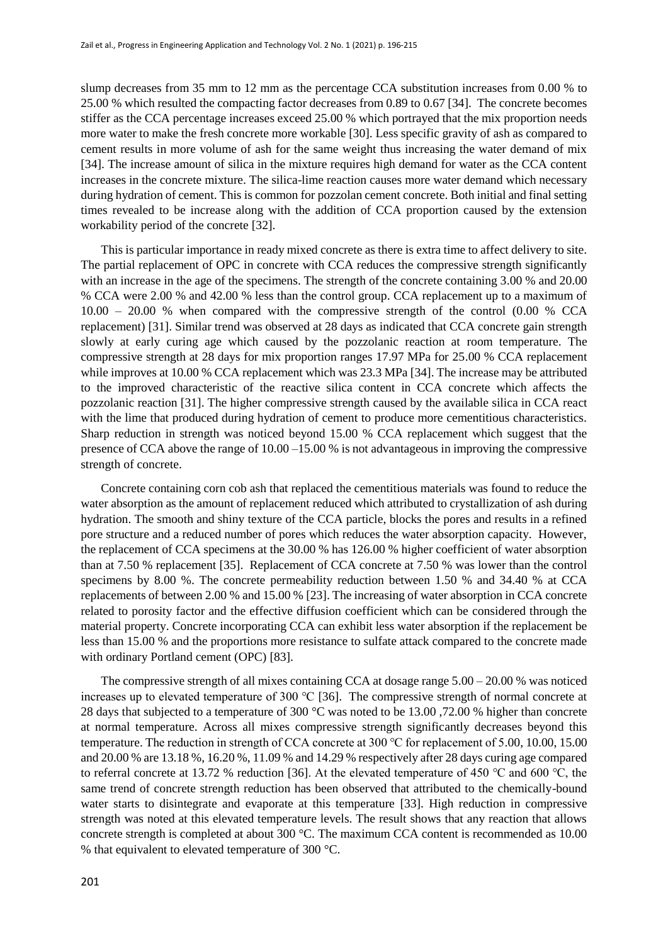slump decreases from 35 mm to 12 mm as the percentage CCA substitution increases from 0.00 % to 25.00 % which resulted the compacting factor decreases from 0.89 to 0.67 [34]. The concrete becomes stiffer as the CCA percentage increases exceed 25.00 % which portrayed that the mix proportion needs more water to make the fresh concrete more workable [30]. Less specific gravity of ash as compared to cement results in more volume of ash for the same weight thus increasing the water demand of mix [34]. The increase amount of silica in the mixture requires high demand for water as the CCA content increases in the concrete mixture. The silica-lime reaction causes more water demand which necessary during hydration of cement. This is common for pozzolan cement concrete. Both initial and final setting times revealed to be increase along with the addition of CCA proportion caused by the extension workability period of the concrete [32].

This is particular importance in ready mixed concrete as there is extra time to affect delivery to site. The partial replacement of OPC in concrete with CCA reduces the compressive strength significantly with an increase in the age of the specimens. The strength of the concrete containing 3.00 % and 20.00 % CCA were 2.00 % and 42.00 % less than the control group. CCA replacement up to a maximum of 10.00 – 20.00 % when compared with the compressive strength of the control (0.00 % CCA replacement) [31]. Similar trend was observed at 28 days as indicated that CCA concrete gain strength slowly at early curing age which caused by the pozzolanic reaction at room temperature. The compressive strength at 28 days for mix proportion ranges 17.97 MPa for 25.00 % CCA replacement while improves at 10.00 % CCA replacement which was 23.3 MPa [34]. The increase may be attributed to the improved characteristic of the reactive silica content in CCA concrete which affects the pozzolanic reaction [31]. The higher compressive strength caused by the available silica in CCA react with the lime that produced during hydration of cement to produce more cementitious characteristics. Sharp reduction in strength was noticed beyond 15.00 % CCA replacement which suggest that the presence of CCA above the range of 10.00 –15.00 % is not advantageous in improving the compressive strength of concrete.

Concrete containing corn cob ash that replaced the cementitious materials was found to reduce the water absorption as the amount of replacement reduced which attributed to crystallization of ash during hydration. The smooth and shiny texture of the CCA particle, blocks the pores and results in a refined pore structure and a reduced number of pores which reduces the water absorption capacity. However, the replacement of CCA specimens at the 30.00 % has 126.00 % higher coefficient of water absorption than at 7.50 % replacement [35]. Replacement of CCA concrete at 7.50 % was lower than the control specimens by 8.00 %. The concrete permeability reduction between 1.50 % and 34.40 % at CCA replacements of between 2.00 % and 15.00 % [23]. The increasing of water absorption in CCA concrete related to porosity factor and the effective diffusion coefficient which can be considered through the material property. Concrete incorporating CCA can exhibit less water absorption if the replacement be less than 15.00 % and the proportions more resistance to sulfate attack compared to the concrete made with ordinary Portland cement (OPC) [83].

The compressive strength of all mixes containing CCA at dosage range  $5.00 - 20.00$  % was noticed increases up to elevated temperature of 300 ℃ [36]. The compressive strength of normal concrete at 28 days that subjected to a temperature of 300 °C was noted to be 13.00 ,72.00 % higher than concrete at normal temperature. Across all mixes compressive strength significantly decreases beyond this temperature. The reduction in strength of CCA concrete at 300 ℃ for replacement of 5.00, 10.00, 15.00 and 20.00 % are 13.18 %, 16.20 %, 11.09 % and 14.29 % respectively after 28 days curing age compared to referral concrete at 13.72 % reduction [36]. At the elevated temperature of 450 ℃ and 600 ℃, the same trend of concrete strength reduction has been observed that attributed to the chemically-bound water starts to disintegrate and evaporate at this temperature [33]. High reduction in compressive strength was noted at this elevated temperature levels. The result shows that any reaction that allows concrete strength is completed at about 300 °C. The maximum CCA content is recommended as 10.00 % that equivalent to elevated temperature of 300 °C.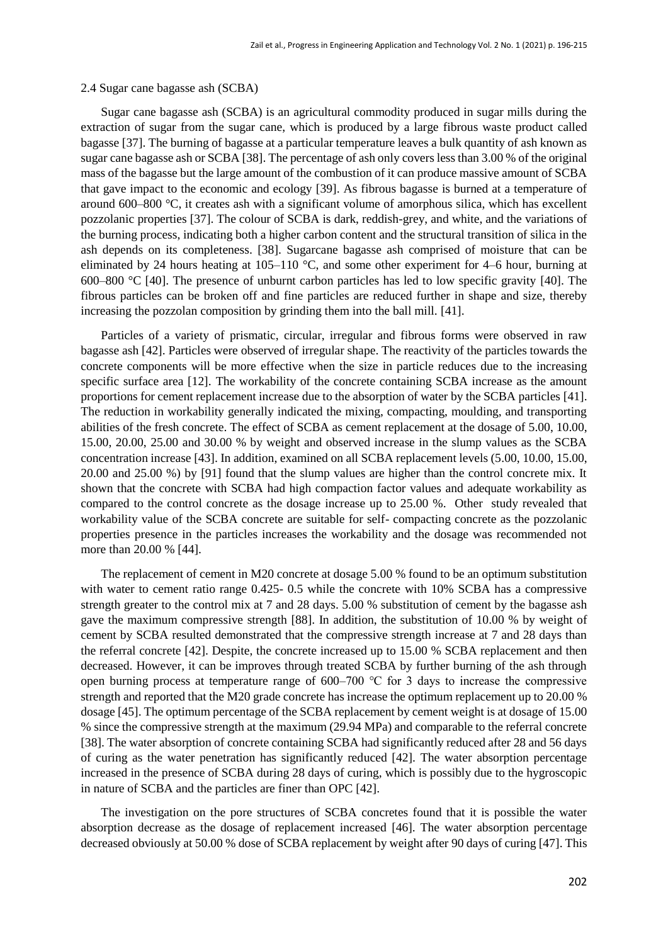#### 2.4 Sugar cane bagasse ash (SCBA)

Sugar cane bagasse ash (SCBA) is an agricultural commodity produced in sugar mills during the extraction of sugar from the sugar cane, which is produced by a large fibrous waste product called bagasse [37]. The burning of bagasse at a particular temperature leaves a bulk quantity of ash known as sugar cane bagasse ash or SCBA [38]. The percentage of ash only covers less than 3.00 % of the original mass of the bagasse but the large amount of the combustion of it can produce massive amount of SCBA that gave impact to the economic and ecology [39]. As fibrous bagasse is burned at a temperature of around 600–800 °C, it creates ash with a significant volume of amorphous silica, which has excellent pozzolanic properties [37]. The colour of SCBA is dark, reddish-grey, and white, and the variations of the burning process, indicating both a higher carbon content and the structural transition of silica in the ash depends on its completeness. [38]. Sugarcane bagasse ash comprised of moisture that can be eliminated by 24 hours heating at 105–110 °C, and some other experiment for 4–6 hour, burning at 600–800 °C [40]. The presence of unburnt carbon particles has led to low specific gravity [40]. The fibrous particles can be broken off and fine particles are reduced further in shape and size, thereby increasing the pozzolan composition by grinding them into the ball mill. [41].

Particles of a variety of prismatic, circular, irregular and fibrous forms were observed in raw bagasse ash [42]. Particles were observed of irregular shape. The reactivity of the particles towards the concrete components will be more effective when the size in particle reduces due to the increasing specific surface area [12]. The workability of the concrete containing SCBA increase as the amount proportions for cement replacement increase due to the absorption of water by the SCBA particles [41]. The reduction in workability generally indicated the mixing, compacting, moulding, and transporting abilities of the fresh concrete. The effect of SCBA as cement replacement at the dosage of 5.00, 10.00, 15.00, 20.00, 25.00 and 30.00 % by weight and observed increase in the slump values as the SCBA concentration increase [43]. In addition, examined on all SCBA replacement levels (5.00, 10.00, 15.00, 20.00 and 25.00 %) by [91] found that the slump values are higher than the control concrete mix. It shown that the concrete with SCBA had high compaction factor values and adequate workability as compared to the control concrete as the dosage increase up to 25.00 %. Other study revealed that workability value of the SCBA concrete are suitable for self- compacting concrete as the pozzolanic properties presence in the particles increases the workability and the dosage was recommended not more than 20.00 % [44].

The replacement of cement in M20 concrete at dosage 5.00 % found to be an optimum substitution with water to cement ratio range 0.425- 0.5 while the concrete with 10% SCBA has a compressive strength greater to the control mix at 7 and 28 days. 5.00 % substitution of cement by the bagasse ash gave the maximum compressive strength [88]. In addition, the substitution of 10.00 % by weight of cement by SCBA resulted demonstrated that the compressive strength increase at 7 and 28 days than the referral concrete [42]. Despite, the concrete increased up to 15.00 % SCBA replacement and then decreased. However, it can be improves through treated SCBA by further burning of the ash through open burning process at temperature range of 600–700 ℃ for 3 days to increase the compressive strength and reported that the M20 grade concrete has increase the optimum replacement up to 20.00 % dosage [45]. The optimum percentage of the SCBA replacement by cement weight is at dosage of 15.00 % since the compressive strength at the maximum (29.94 MPa) and comparable to the referral concrete [38]. The water absorption of concrete containing SCBA had significantly reduced after 28 and 56 days of curing as the water penetration has significantly reduced [42]. The water absorption percentage increased in the presence of SCBA during 28 days of curing, which is possibly due to the hygroscopic in nature of SCBA and the particles are finer than OPC [42].

The investigation on the pore structures of SCBA concretes found that it is possible the water absorption decrease as the dosage of replacement increased [46]. The water absorption percentage decreased obviously at 50.00 % dose of SCBA replacement by weight after 90 days of curing [47]. This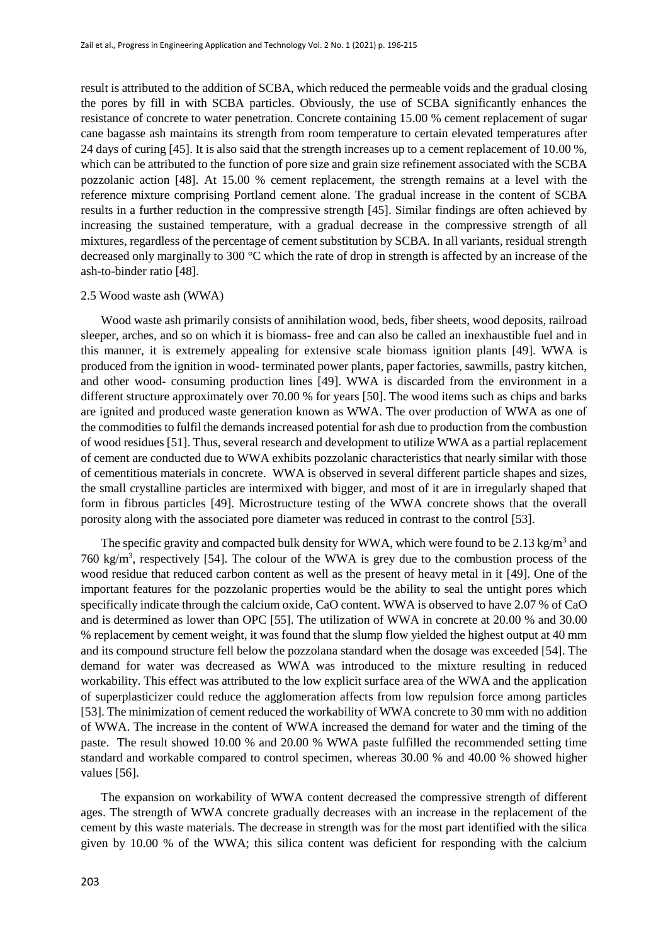result is attributed to the addition of SCBA, which reduced the permeable voids and the gradual closing the pores by fill in with SCBA particles. Obviously, the use of SCBA significantly enhances the resistance of concrete to water penetration. Concrete containing 15.00 % cement replacement of sugar cane bagasse ash maintains its strength from room temperature to certain elevated temperatures after 24 days of curing [45]. It is also said that the strength increases up to a cement replacement of 10.00 %, which can be attributed to the function of pore size and grain size refinement associated with the SCBA pozzolanic action [48]. At 15.00 % cement replacement, the strength remains at a level with the reference mixture comprising Portland cement alone. The gradual increase in the content of SCBA results in a further reduction in the compressive strength [45]. Similar findings are often achieved by increasing the sustained temperature, with a gradual decrease in the compressive strength of all mixtures, regardless of the percentage of cement substitution by SCBA. In all variants, residual strength decreased only marginally to 300 °C which the rate of drop in strength is affected by an increase of the ash-to-binder ratio [48].

### 2.5 Wood waste ash (WWA)

Wood waste ash primarily consists of annihilation wood, beds, fiber sheets, wood deposits, railroad sleeper, arches, and so on which it is biomass- free and can also be called an inexhaustible fuel and in this manner, it is extremely appealing for extensive scale biomass ignition plants [49]. WWA is produced from the ignition in wood- terminated power plants, paper factories, sawmills, pastry kitchen, and other wood- consuming production lines [49]. WWA is discarded from the environment in a different structure approximately over 70.00 % for years [50]. The wood items such as chips and barks are ignited and produced waste generation known as WWA. The over production of WWA as one of the commodities to fulfil the demands increased potential for ash due to production from the combustion of wood residues [51]. Thus, several research and development to utilize WWA as a partial replacement of cement are conducted due to WWA exhibits pozzolanic characteristics that nearly similar with those of cementitious materials in concrete. WWA is observed in several different particle shapes and sizes, the small crystalline particles are intermixed with bigger, and most of it are in irregularly shaped that form in fibrous particles [49]. Microstructure testing of the WWA concrete shows that the overall porosity along with the associated pore diameter was reduced in contrast to the control [53].

The specific gravity and compacted bulk density for WWA, which were found to be 2.13 kg/m<sup>3</sup> and 760 kg/m<sup>3</sup>, respectively [54]. The colour of the WWA is grey due to the combustion process of the wood residue that reduced carbon content as well as the present of heavy metal in it [49]. One of the important features for the pozzolanic properties would be the ability to seal the untight pores which specifically indicate through the calcium oxide, CaO content. WWA is observed to have 2.07 % of CaO and is determined as lower than OPC [55]. The utilization of WWA in concrete at 20.00 % and 30.00 % replacement by cement weight, it was found that the slump flow yielded the highest output at 40 mm and its compound structure fell below the pozzolana standard when the dosage was exceeded [54]. The demand for water was decreased as WWA was introduced to the mixture resulting in reduced workability. This effect was attributed to the low explicit surface area of the WWA and the application of superplasticizer could reduce the agglomeration affects from low repulsion force among particles [53]. The minimization of cement reduced the workability of WWA concrete to 30 mm with no addition of WWA. The increase in the content of WWA increased the demand for water and the timing of the paste. The result showed 10.00 % and 20.00 % WWA paste fulfilled the recommended setting time standard and workable compared to control specimen, whereas 30.00 % and 40.00 % showed higher values [56].

The expansion on workability of WWA content decreased the compressive strength of different ages. The strength of WWA concrete gradually decreases with an increase in the replacement of the cement by this waste materials. The decrease in strength was for the most part identified with the silica given by 10.00 % of the WWA; this silica content was deficient for responding with the calcium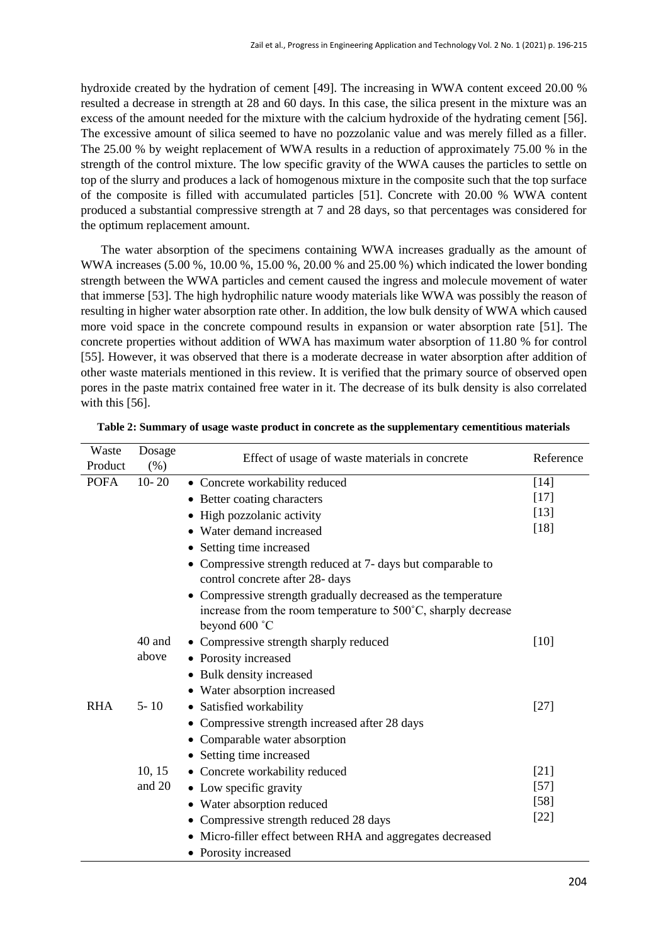hydroxide created by the hydration of cement [49]. The increasing in WWA content exceed 20.00 % resulted a decrease in strength at 28 and 60 days. In this case, the silica present in the mixture was an excess of the amount needed for the mixture with the calcium hydroxide of the hydrating cement [56]. The excessive amount of silica seemed to have no pozzolanic value and was merely filled as a filler. The 25.00 % by weight replacement of WWA results in a reduction of approximately 75.00 % in the strength of the control mixture. The low specific gravity of the WWA causes the particles to settle on top of the slurry and produces a lack of homogenous mixture in the composite such that the top surface of the composite is filled with accumulated particles [51]. Concrete with 20.00 % WWA content produced a substantial compressive strength at 7 and 28 days, so that percentages was considered for the optimum replacement amount.

The water absorption of the specimens containing WWA increases gradually as the amount of WWA increases (5.00 %, 10.00 %, 15.00 %, 20.00 % and 25.00 %) which indicated the lower bonding strength between the WWA particles and cement caused the ingress and molecule movement of water that immerse [53]. The high hydrophilic nature woody materials like WWA was possibly the reason of resulting in higher water absorption rate other. In addition, the low bulk density of WWA which caused more void space in the concrete compound results in expansion or water absorption rate [51]. The concrete properties without addition of WWA has maximum water absorption of 11.80 % for control [55]. However, it was observed that there is a moderate decrease in water absorption after addition of other waste materials mentioned in this review. It is verified that the primary source of observed open pores in the paste matrix contained free water in it. The decrease of its bulk density is also correlated with this [56].

| Waste       | Dosage    | Effect of usage of waste materials in concrete                | Reference |
|-------------|-----------|---------------------------------------------------------------|-----------|
| Product     | (% )      |                                                               |           |
| <b>POFA</b> | $10 - 20$ | • Concrete workability reduced                                | [14]      |
|             |           | • Better coating characters                                   | $[17]$    |
|             |           | • High pozzolanic activity                                    | $[13]$    |
|             |           | • Water demand increased                                      | $[18]$    |
|             |           | • Setting time increased                                      |           |
|             |           | • Compressive strength reduced at 7- days but comparable to   |           |
|             |           | control concrete after 28- days                               |           |
|             |           | • Compressive strength gradually decreased as the temperature |           |
|             |           | increase from the room temperature to 500°C, sharply decrease |           |
|             |           | beyond 600 °C                                                 |           |
|             | 40 and    | • Compressive strength sharply reduced                        | $[10]$    |
|             | above     | • Porosity increased                                          |           |
|             |           | • Bulk density increased                                      |           |
|             |           | • Water absorption increased                                  |           |
| <b>RHA</b>  | $5 - 10$  | • Satisfied workability                                       | $[27]$    |
|             |           | • Compressive strength increased after 28 days                |           |
|             |           | • Comparable water absorption                                 |           |
|             |           | • Setting time increased                                      |           |
|             | 10, 15    | • Concrete workability reduced                                | $[21]$    |
|             | and 20    | • Low specific gravity                                        | $[57]$    |
|             |           | • Water absorption reduced                                    | $[58]$    |
|             |           | • Compressive strength reduced 28 days                        | $[22]$    |
|             |           | • Micro-filler effect between RHA and aggregates decreased    |           |
|             |           | • Porosity increased                                          |           |

**Table 2: Summary of usage waste product in concrete as the supplementary cementitious materials**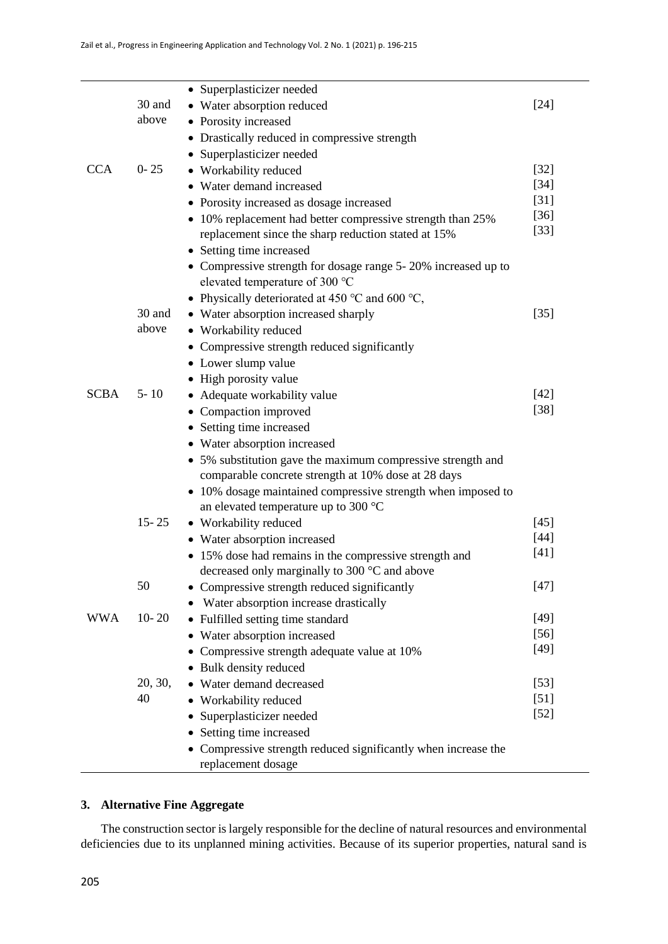|             |           | • Superplasticizer needed                                      |        |
|-------------|-----------|----------------------------------------------------------------|--------|
|             | 30 and    | • Water absorption reduced                                     | $[24]$ |
|             | above     | • Porosity increased                                           |        |
|             |           | • Drastically reduced in compressive strength                  |        |
|             |           | • Superplasticizer needed                                      |        |
| <b>CCA</b>  | $0 - 25$  | • Workability reduced                                          | $[32]$ |
|             |           | • Water demand increased                                       | $[34]$ |
|             |           | • Porosity increased as dosage increased                       | $[31]$ |
|             |           | • 10% replacement had better compressive strength than 25%     | $[36]$ |
|             |           | replacement since the sharp reduction stated at 15%            | $[33]$ |
|             |           | • Setting time increased                                       |        |
|             |           | • Compressive strength for dosage range 5-20% increased up to  |        |
|             |           | elevated temperature of 300 °C                                 |        |
|             |           | • Physically deteriorated at 450 °C and 600 °C,                |        |
|             | 30 and    | • Water absorption increased sharply                           | $[35]$ |
|             | above     | • Workability reduced                                          |        |
|             |           | • Compressive strength reduced significantly                   |        |
|             |           | • Lower slump value                                            |        |
|             |           | • High porosity value                                          |        |
| <b>SCBA</b> | $5 - 10$  | • Adequate workability value                                   | $[42]$ |
|             |           | • Compaction improved                                          | $[38]$ |
|             |           | • Setting time increased                                       |        |
|             |           | • Water absorption increased                                   |        |
|             |           | • 5% substitution gave the maximum compressive strength and    |        |
|             |           | comparable concrete strength at 10% dose at 28 days            |        |
|             |           | • 10% dosage maintained compressive strength when imposed to   |        |
|             |           | an elevated temperature up to 300 $^{\circ}$ C                 |        |
|             | $15 - 25$ | • Workability reduced                                          | $[45]$ |
|             |           | • Water absorption increased                                   | $[44]$ |
|             |           | • 15% dose had remains in the compressive strength and         | $[41]$ |
|             |           | decreased only marginally to 300 °C and above                  |        |
|             | 50        | • Compressive strength reduced significantly                   | $[47]$ |
|             |           | Water absorption increase drastically                          |        |
| <b>WWA</b>  | $10 - 20$ | • Fulfilled setting time standard                              | $[49]$ |
|             |           | Water absorption increased<br>٠                                | $[56]$ |
|             |           | Compressive strength adequate value at 10%                     | $[49]$ |
|             |           | • Bulk density reduced                                         |        |
|             | 20, 30,   | • Water demand decreased                                       | $[53]$ |
|             | 40        | • Workability reduced                                          | $[51]$ |
|             |           | Superplasticizer needed                                        | $[52]$ |
|             |           | Setting time increased                                         |        |
|             |           | • Compressive strength reduced significantly when increase the |        |
|             |           | replacement dosage                                             |        |

# **3. Alternative Fine Aggregate**

The construction sector is largely responsible for the decline of natural resources and environmental deficiencies due to its unplanned mining activities. Because of its superior properties, natural sand is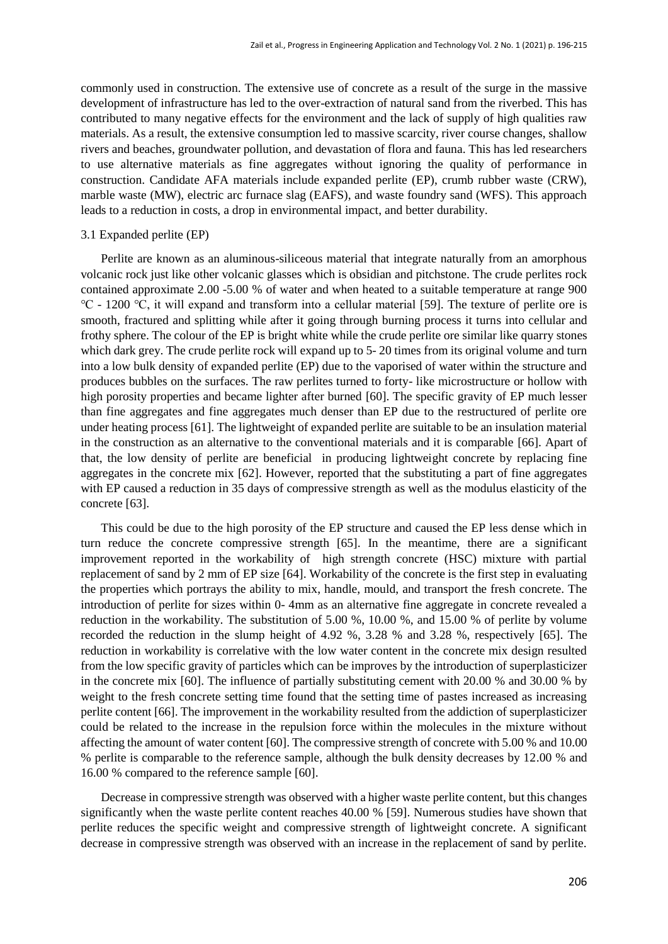commonly used in construction. The extensive use of concrete as a result of the surge in the massive development of infrastructure has led to the over-extraction of natural sand from the riverbed. This has contributed to many negative effects for the environment and the lack of supply of high qualities raw materials. As a result, the extensive consumption led to massive scarcity, river course changes, shallow rivers and beaches, groundwater pollution, and devastation of flora and fauna. This has led researchers to use alternative materials as fine aggregates without ignoring the quality of performance in construction. Candidate AFA materials include expanded perlite (EP), crumb rubber waste (CRW), marble waste (MW), electric arc furnace slag (EAFS), and waste foundry sand (WFS). This approach leads to a reduction in costs, a drop in environmental impact, and better durability.

#### 3.1 Expanded perlite (EP)

Perlite are known as an aluminous-siliceous material that integrate naturally from an amorphous volcanic rock just like other volcanic glasses which is obsidian and pitchstone. The crude perlites rock contained approximate 2.00 -5.00 % of water and when heated to a suitable temperature at range 900 ℃ - 1200 ℃, it will expand and transform into a cellular material [59]. The texture of perlite ore is smooth, fractured and splitting while after it going through burning process it turns into cellular and frothy sphere. The colour of the EP is bright white while the crude perlite ore similar like quarry stones which dark grey. The crude perlite rock will expand up to 5-20 times from its original volume and turn into a low bulk density of expanded perlite (EP) due to the vaporised of water within the structure and produces bubbles on the surfaces. The raw perlites turned to forty- like microstructure or hollow with high porosity properties and became lighter after burned [60]. The specific gravity of EP much lesser than fine aggregates and fine aggregates much denser than EP due to the restructured of perlite ore under heating process [61]. The lightweight of expanded perlite are suitable to be an insulation material in the construction as an alternative to the conventional materials and it is comparable [66]. Apart of that, the low density of perlite are beneficial in producing lightweight concrete by replacing fine aggregates in the concrete mix [62]. However, reported that the substituting a part of fine aggregates with EP caused a reduction in 35 days of compressive strength as well as the modulus elasticity of the concrete [63].

This could be due to the high porosity of the EP structure and caused the EP less dense which in turn reduce the concrete compressive strength [65]. In the meantime, there are a significant improvement reported in the workability of high strength concrete (HSC) mixture with partial replacement of sand by 2 mm of EP size [64]. Workability of the concrete is the first step in evaluating the properties which portrays the ability to mix, handle, mould, and transport the fresh concrete. The introduction of perlite for sizes within 0- 4mm as an alternative fine aggregate in concrete revealed a reduction in the workability. The substitution of 5.00 %, 10.00 %, and 15.00 % of perlite by volume recorded the reduction in the slump height of 4.92 %, 3.28 % and 3.28 %, respectively [65]. The reduction in workability is correlative with the low water content in the concrete mix design resulted from the low specific gravity of particles which can be improves by the introduction of superplasticizer in the concrete mix [60]. The influence of partially substituting cement with 20.00 % and 30.00 % by weight to the fresh concrete setting time found that the setting time of pastes increased as increasing perlite content [66]. The improvement in the workability resulted from the addiction of superplasticizer could be related to the increase in the repulsion force within the molecules in the mixture without affecting the amount of water content [60]. The compressive strength of concrete with 5.00 % and 10.00 % perlite is comparable to the reference sample, although the bulk density decreases by 12.00 % and 16.00 % compared to the reference sample [60].

Decrease in compressive strength was observed with a higher waste perlite content, but this changes significantly when the waste perlite content reaches 40.00 % [59]. Numerous studies have shown that perlite reduces the specific weight and compressive strength of lightweight concrete. A significant decrease in compressive strength was observed with an increase in the replacement of sand by perlite.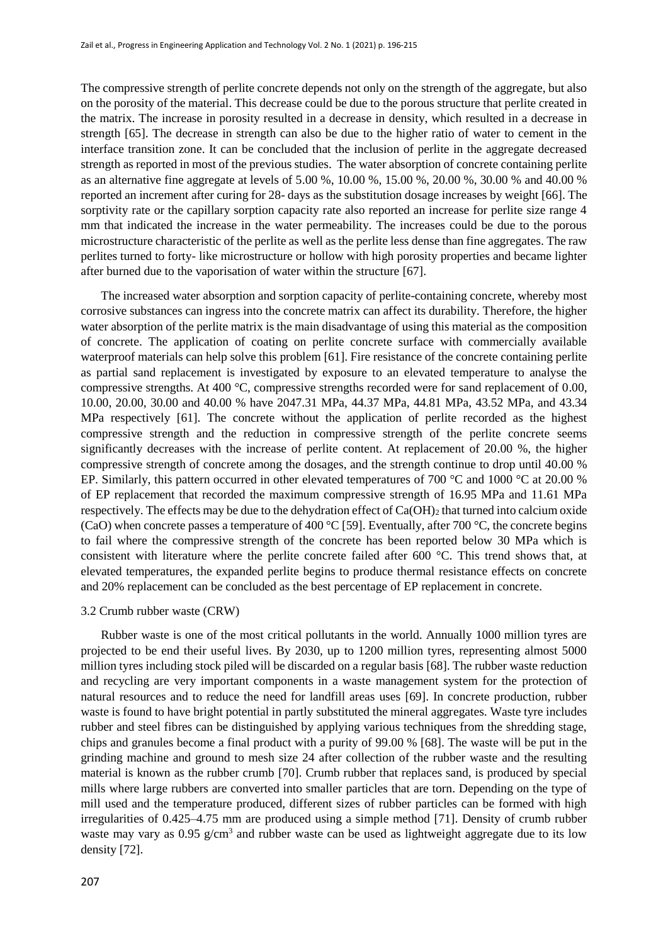The compressive strength of perlite concrete depends not only on the strength of the aggregate, but also on the porosity of the material. This decrease could be due to the porous structure that perlite created in the matrix. The increase in porosity resulted in a decrease in density, which resulted in a decrease in strength [65]. The decrease in strength can also be due to the higher ratio of water to cement in the interface transition zone. It can be concluded that the inclusion of perlite in the aggregate decreased strength as reported in most of the previous studies. The water absorption of concrete containing perlite as an alternative fine aggregate at levels of 5.00 %, 10.00 %, 15.00 %, 20.00 %, 30.00 % and 40.00 % reported an increment after curing for 28- days as the substitution dosage increases by weight [66]. The sorptivity rate or the capillary sorption capacity rate also reported an increase for perlite size range 4 mm that indicated the increase in the water permeability. The increases could be due to the porous microstructure characteristic of the perlite as well as the perlite less dense than fine aggregates. The raw perlites turned to forty- like microstructure or hollow with high porosity properties and became lighter after burned due to the vaporisation of water within the structure [67].

The increased water absorption and sorption capacity of perlite-containing concrete, whereby most corrosive substances can ingress into the concrete matrix can affect its durability. Therefore, the higher water absorption of the perlite matrix is the main disadvantage of using this material as the composition of concrete. The application of coating on perlite concrete surface with commercially available waterproof materials can help solve this problem [61]. Fire resistance of the concrete containing perlite as partial sand replacement is investigated by exposure to an elevated temperature to analyse the compressive strengths. At 400 °C, compressive strengths recorded were for sand replacement of 0.00, 10.00, 20.00, 30.00 and 40.00 % have 2047.31 MPa, 44.37 MPa, 44.81 MPa, 43.52 MPa, and 43.34 MPa respectively [61]. The concrete without the application of perlite recorded as the highest compressive strength and the reduction in compressive strength of the perlite concrete seems significantly decreases with the increase of perlite content. At replacement of 20.00 %, the higher compressive strength of concrete among the dosages, and the strength continue to drop until 40.00 % EP. Similarly, this pattern occurred in other elevated temperatures of 700 °C and 1000 °C at 20.00 % of EP replacement that recorded the maximum compressive strength of 16.95 MPa and 11.61 MPa respectively. The effects may be due to the dehydration effect of  $Ca(OH)_2$  that turned into calcium oxide (CaO) when concrete passes a temperature of 400 °C [59]. Eventually, after 700 °C, the concrete begins to fail where the compressive strength of the concrete has been reported below 30 MPa which is consistent with literature where the perlite concrete failed after 600 °C. This trend shows that, at elevated temperatures, the expanded perlite begins to produce thermal resistance effects on concrete and 20% replacement can be concluded as the best percentage of EP replacement in concrete.

# 3.2 Crumb rubber waste (CRW)

Rubber waste is one of the most critical pollutants in the world. Annually 1000 million tyres are projected to be end their useful lives. By 2030, up to 1200 million tyres, representing almost 5000 million tyres including stock piled will be discarded on a regular basis [68]. The rubber waste reduction and recycling are very important components in a waste management system for the protection of natural resources and to reduce the need for landfill areas uses [69]. In concrete production, rubber waste is found to have bright potential in partly substituted the mineral aggregates. Waste tyre includes rubber and steel fibres can be distinguished by applying various techniques from the shredding stage, chips and granules become a final product with a purity of 99.00 % [68]. The waste will be put in the grinding machine and ground to mesh size 24 after collection of the rubber waste and the resulting material is known as the rubber crumb [70]. Crumb rubber that replaces sand, is produced by special mills where large rubbers are converted into smaller particles that are torn. Depending on the type of mill used and the temperature produced, different sizes of rubber particles can be formed with high irregularities of 0.425–4.75 mm are produced using a simple method [71]. Density of crumb rubber waste may vary as  $0.95$  g/cm<sup>3</sup> and rubber waste can be used as lightweight aggregate due to its low density [72].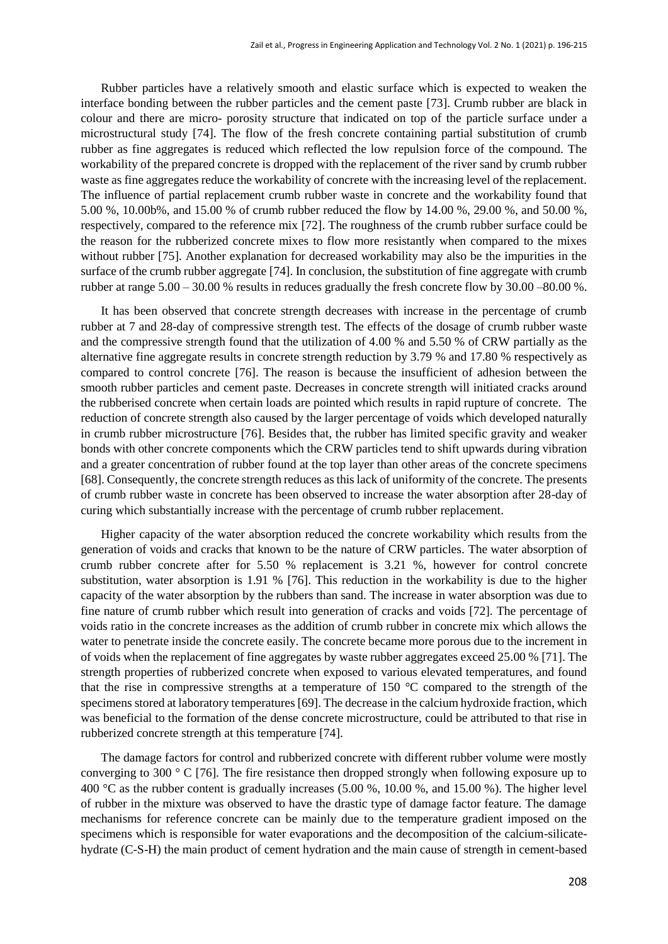Rubber particles have a relatively smooth and elastic surface which is expected to weaken the interface bonding between the rubber particles and the cement paste [73]. Crumb rubber are black in colour and there are micro- porosity structure that indicated on top of the particle surface under a microstructural study [74]. The flow of the fresh concrete containing partial substitution of crumb rubber as fine aggregates is reduced which reflected the low repulsion force of the compound. The workability of the prepared concrete is dropped with the replacement of the river sand by crumb rubber waste as fine aggregates reduce the workability of concrete with the increasing level of the replacement. The influence of partial replacement crumb rubber waste in concrete and the workability found that 5.00 %, 10.00b%, and 15.00 % of crumb rubber reduced the flow by 14.00 %, 29.00 %, and 50.00 %, respectively, compared to the reference mix [72]. The roughness of the crumb rubber surface could be the reason for the rubberized concrete mixes to flow more resistantly when compared to the mixes without rubber [75]. Another explanation for decreased workability may also be the impurities in the surface of the crumb rubber aggregate [74]. In conclusion, the substitution of fine aggregate with crumb rubber at range 5.00 – 30.00 % results in reduces gradually the fresh concrete flow by 30.00 –80.00 %.

It has been observed that concrete strength decreases with increase in the percentage of crumb rubber at 7 and 28-day of compressive strength test. The effects of the dosage of crumb rubber waste and the compressive strength found that the utilization of 4.00 % and 5.50 % of CRW partially as the alternative fine aggregate results in concrete strength reduction by 3.79 % and 17.80 % respectively as compared to control concrete [76]. The reason is because the insufficient of adhesion between the smooth rubber particles and cement paste. Decreases in concrete strength will initiated cracks around the rubberised concrete when certain loads are pointed which results in rapid rupture of concrete. The reduction of concrete strength also caused by the larger percentage of voids which developed naturally in crumb rubber microstructure [76]. Besides that, the rubber has limited specific gravity and weaker bonds with other concrete components which the CRW particles tend to shift upwards during vibration and a greater concentration of rubber found at the top layer than other areas of the concrete specimens [68]. Consequently, the concrete strength reduces as this lack of uniformity of the concrete. The presents of crumb rubber waste in concrete has been observed to increase the water absorption after 28-day of curing which substantially increase with the percentage of crumb rubber replacement.

Higher capacity of the water absorption reduced the concrete workability which results from the generation of voids and cracks that known to be the nature of CRW particles. The water absorption of crumb rubber concrete after for 5.50 % replacement is 3.21 %, however for control concrete substitution, water absorption is 1.91 % [76]. This reduction in the workability is due to the higher capacity of the water absorption by the rubbers than sand. The increase in water absorption was due to fine nature of crumb rubber which result into generation of cracks and voids [72]. The percentage of voids ratio in the concrete increases as the addition of crumb rubber in concrete mix which allows the water to penetrate inside the concrete easily. The concrete became more porous due to the increment in of voids when the replacement of fine aggregates by waste rubber aggregates exceed 25.00 % [71]. The strength properties of rubberized concrete when exposed to various elevated temperatures, and found that the rise in compressive strengths at a temperature of 150 °C compared to the strength of the specimens stored at laboratory temperatures [69]. The decrease in the calcium hydroxide fraction, which was beneficial to the formation of the dense concrete microstructure, could be attributed to that rise in rubberized concrete strength at this temperature [74].

The damage factors for control and rubberized concrete with different rubber volume were mostly converging to 300 ° C [76]. The fire resistance then dropped strongly when following exposure up to 400 °C as the rubber content is gradually increases (5.00 %, 10.00 %, and 15.00 %). The higher level of rubber in the mixture was observed to have the drastic type of damage factor feature. The damage mechanisms for reference concrete can be mainly due to the temperature gradient imposed on the specimens which is responsible for water evaporations and the decomposition of the calcium-silicatehydrate (C-S-H) the main product of cement hydration and the main cause of strength in cement-based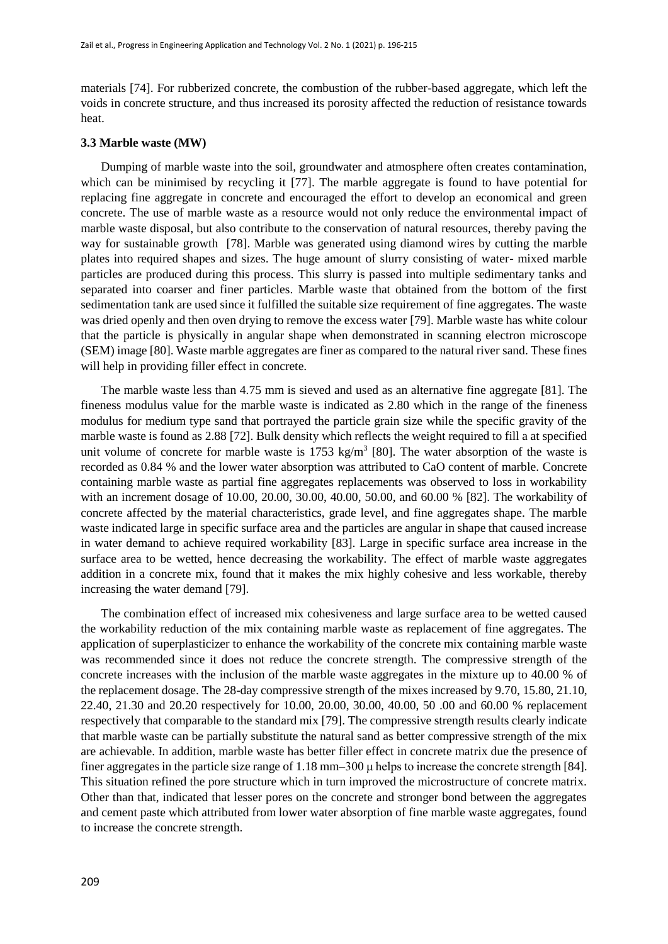materials [74]. For rubberized concrete, the combustion of the rubber-based aggregate, which left the voids in concrete structure, and thus increased its porosity affected the reduction of resistance towards heat.

# **3.3 Marble waste (MW)**

Dumping of marble waste into the soil, groundwater and atmosphere often creates contamination, which can be minimised by recycling it [77]. The marble aggregate is found to have potential for replacing fine aggregate in concrete and encouraged the effort to develop an economical and green concrete. The use of marble waste as a resource would not only reduce the environmental impact of marble waste disposal, but also contribute to the conservation of natural resources, thereby paving the way for sustainable growth [78]. Marble was generated using diamond wires by cutting the marble plates into required shapes and sizes. The huge amount of slurry consisting of water- mixed marble particles are produced during this process. This slurry is passed into multiple sedimentary tanks and separated into coarser and finer particles. Marble waste that obtained from the bottom of the first sedimentation tank are used since it fulfilled the suitable size requirement of fine aggregates. The waste was dried openly and then oven drying to remove the excess water [79]. Marble waste has white colour that the particle is physically in angular shape when demonstrated in scanning electron microscope (SEM) image [80]. Waste marble aggregates are finer as compared to the natural river sand. These fines will help in providing filler effect in concrete.

The marble waste less than 4.75 mm is sieved and used as an alternative fine aggregate [81]. The fineness modulus value for the marble waste is indicated as 2.80 which in the range of the fineness modulus for medium type sand that portrayed the particle grain size while the specific gravity of the marble waste is found as 2.88 [72]. Bulk density which reflects the weight required to fill a at specified unit volume of concrete for marble waste is  $1753 \text{ kg/m}^3$  [80]. The water absorption of the waste is recorded as 0.84 % and the lower water absorption was attributed to CaO content of marble. Concrete containing marble waste as partial fine aggregates replacements was observed to loss in workability with an increment dosage of 10.00, 20.00, 30.00, 40.00, 50.00, and 60.00 % [82]. The workability of concrete affected by the material characteristics, grade level, and fine aggregates shape. The marble waste indicated large in specific surface area and the particles are angular in shape that caused increase in water demand to achieve required workability [83]. Large in specific surface area increase in the surface area to be wetted, hence decreasing the workability. The effect of marble waste aggregates addition in a concrete mix, found that it makes the mix highly cohesive and less workable, thereby increasing the water demand [79].

The combination effect of increased mix cohesiveness and large surface area to be wetted caused the workability reduction of the mix containing marble waste as replacement of fine aggregates. The application of superplasticizer to enhance the workability of the concrete mix containing marble waste was recommended since it does not reduce the concrete strength. The compressive strength of the concrete increases with the inclusion of the marble waste aggregates in the mixture up to 40.00 % of the replacement dosage. The 28-day compressive strength of the mixes increased by 9.70, 15.80, 21.10, 22.40, 21.30 and 20.20 respectively for 10.00, 20.00, 30.00, 40.00, 50 .00 and 60.00 % replacement respectively that comparable to the standard mix [79]. The compressive strength results clearly indicate that marble waste can be partially substitute the natural sand as better compressive strength of the mix are achievable. In addition, marble waste has better filler effect in concrete matrix due the presence of finer aggregates in the particle size range of 1.18 mm–300 μ helps to increase the concrete strength [84]. This situation refined the pore structure which in turn improved the microstructure of concrete matrix. Other than that, indicated that lesser pores on the concrete and stronger bond between the aggregates and cement paste which attributed from lower water absorption of fine marble waste aggregates, found to increase the concrete strength.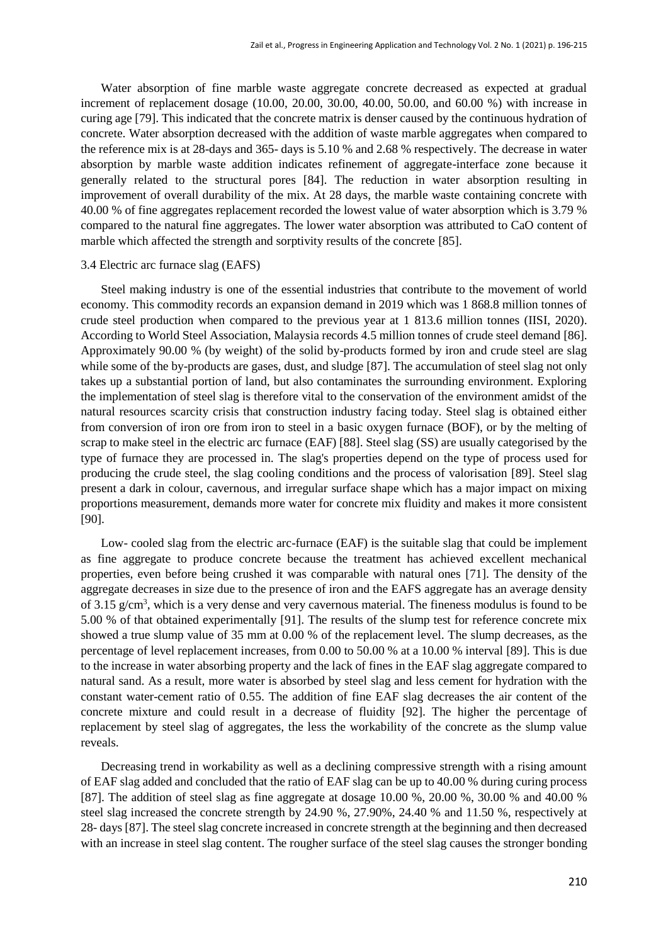Water absorption of fine marble waste aggregate concrete decreased as expected at gradual increment of replacement dosage (10.00, 20.00, 30.00, 40.00, 50.00, and 60.00 %) with increase in curing age [79]. This indicated that the concrete matrix is denser caused by the continuous hydration of concrete. Water absorption decreased with the addition of waste marble aggregates when compared to the reference mix is at 28-days and 365- days is 5.10 % and 2.68 % respectively. The decrease in water absorption by marble waste addition indicates refinement of aggregate-interface zone because it generally related to the structural pores [84]. The reduction in water absorption resulting in improvement of overall durability of the mix. At 28 days, the marble waste containing concrete with 40.00 % of fine aggregates replacement recorded the lowest value of water absorption which is 3.79 % compared to the natural fine aggregates. The lower water absorption was attributed to CaO content of marble which affected the strength and sorptivity results of the concrete [85].

# 3.4 Electric arc furnace slag (EAFS)

Steel making industry is one of the essential industries that contribute to the movement of world economy. This commodity records an expansion demand in 2019 which was 1 868.8 million tonnes of crude steel production when compared to the previous year at 1 813.6 million tonnes (IISI, 2020). According to World Steel Association, Malaysia records 4.5 million tonnes of crude steel demand [86]. Approximately 90.00 % (by weight) of the solid by-products formed by iron and crude steel are slag while some of the by-products are gases, dust, and sludge [87]. The accumulation of steel slag not only takes up a substantial portion of land, but also contaminates the surrounding environment. Exploring the implementation of steel slag is therefore vital to the conservation of the environment amidst of the natural resources scarcity crisis that construction industry facing today. Steel slag is obtained either from conversion of iron ore from iron to steel in a basic oxygen furnace (BOF), or by the melting of scrap to make steel in the electric arc furnace (EAF) [88]. Steel slag (SS) are usually categorised by the type of furnace they are processed in. The slag's properties depend on the type of process used for producing the crude steel, the slag cooling conditions and the process of valorisation [89]. Steel slag present a dark in colour, cavernous, and irregular surface shape which has a major impact on mixing proportions measurement, demands more water for concrete mix fluidity and makes it more consistent [90].

Low- cooled slag from the electric arc-furnace (EAF) is the suitable slag that could be implement as fine aggregate to produce concrete because the treatment has achieved excellent mechanical properties, even before being crushed it was comparable with natural ones [71]. The density of the aggregate decreases in size due to the presence of iron and the EAFS aggregate has an average density of 3.15 g/cm<sup>3</sup>, which is a very dense and very cavernous material. The fineness modulus is found to be 5.00 % of that obtained experimentally [91]. The results of the slump test for reference concrete mix showed a true slump value of 35 mm at 0.00 % of the replacement level. The slump decreases, as the percentage of level replacement increases, from 0.00 to 50.00 % at a 10.00 % interval [89]. This is due to the increase in water absorbing property and the lack of fines in the EAF slag aggregate compared to natural sand. As a result, more water is absorbed by steel slag and less cement for hydration with the constant water-cement ratio of 0.55. The addition of fine EAF slag decreases the air content of the concrete mixture and could result in a decrease of fluidity [92]. The higher the percentage of replacement by steel slag of aggregates, the less the workability of the concrete as the slump value reveals.

Decreasing trend in workability as well as a declining compressive strength with a rising amount of EAF slag added and concluded that the ratio of EAF slag can be up to 40.00 % during curing process [87]. The addition of steel slag as fine aggregate at dosage 10.00 %, 20.00 %, 30.00 % and 40.00 % steel slag increased the concrete strength by 24.90 %, 27.90%, 24.40 % and 11.50 %, respectively at 28- days [87]. The steel slag concrete increased in concrete strength at the beginning and then decreased with an increase in steel slag content. The rougher surface of the steel slag causes the stronger bonding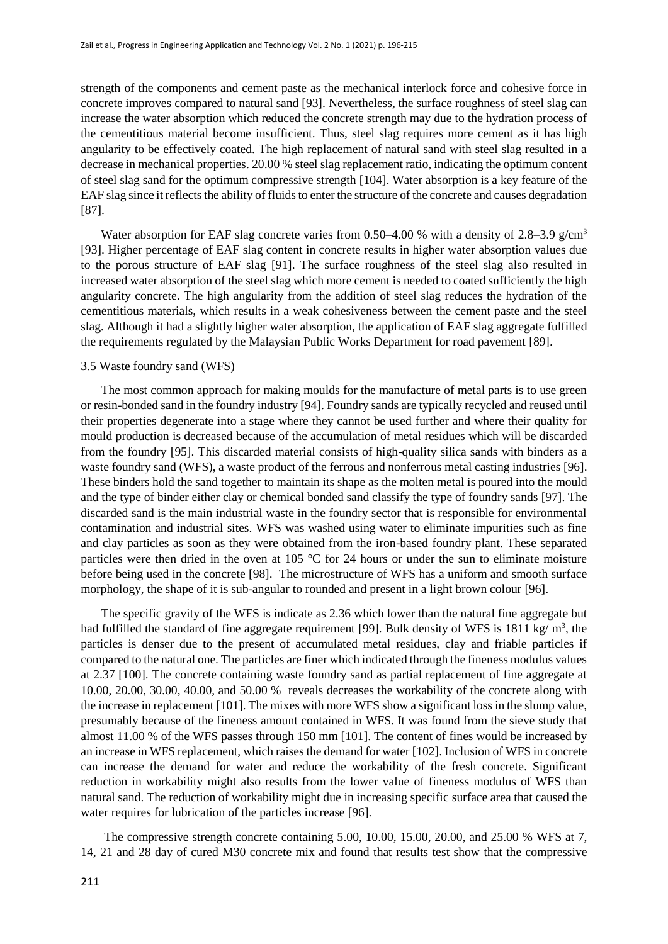strength of the components and cement paste as the mechanical interlock force and cohesive force in concrete improves compared to natural sand [93]. Nevertheless, the surface roughness of steel slag can increase the water absorption which reduced the concrete strength may due to the hydration process of the cementitious material become insufficient. Thus, steel slag requires more cement as it has high angularity to be effectively coated. The high replacement of natural sand with steel slag resulted in a decrease in mechanical properties. 20.00 % steel slag replacement ratio, indicating the optimum content of steel slag sand for the optimum compressive strength [104]. Water absorption is a key feature of the EAF slag since it reflects the ability of fluids to enter the structure of the concrete and causes degradation [87].

Water absorption for EAF slag concrete varies from 0.50–4.00 % with a density of 2.8–3.9 g/cm<sup>3</sup> [93]. Higher percentage of EAF slag content in concrete results in higher water absorption values due to the porous structure of EAF slag [91]. The surface roughness of the steel slag also resulted in increased water absorption of the steel slag which more cement is needed to coated sufficiently the high angularity concrete. The high angularity from the addition of steel slag reduces the hydration of the cementitious materials, which results in a weak cohesiveness between the cement paste and the steel slag. Although it had a slightly higher water absorption, the application of EAF slag aggregate fulfilled the requirements regulated by the Malaysian Public Works Department for road pavement [89].

# 3.5 Waste foundry sand (WFS)

The most common approach for making moulds for the manufacture of metal parts is to use green or resin-bonded sand in the foundry industry [94]. Foundry sands are typically recycled and reused until their properties degenerate into a stage where they cannot be used further and where their quality for mould production is decreased because of the accumulation of metal residues which will be discarded from the foundry [95]. This discarded material consists of high-quality silica sands with binders as a waste foundry sand (WFS), a waste product of the ferrous and nonferrous metal casting industries [96]. These binders hold the sand together to maintain its shape as the molten metal is poured into the mould and the type of binder either clay or chemical bonded sand classify the type of foundry sands [97]. The discarded sand is the main industrial waste in the foundry sector that is responsible for environmental contamination and industrial sites. WFS was washed using water to eliminate impurities such as fine and clay particles as soon as they were obtained from the iron-based foundry plant. These separated particles were then dried in the oven at 105 °C for 24 hours or under the sun to eliminate moisture before being used in the concrete [98]. The microstructure of WFS has a uniform and smooth surface morphology, the shape of it is sub-angular to rounded and present in a light brown colour [96].

The specific gravity of the WFS is indicate as 2.36 which lower than the natural fine aggregate but had fulfilled the standard of fine aggregate requirement [99]. Bulk density of WFS is 1811 kg/ $m^3$ , the particles is denser due to the present of accumulated metal residues, clay and friable particles if compared to the natural one. The particles are finer which indicated through the fineness modulus values at 2.37 [100]. The concrete containing waste foundry sand as partial replacement of fine aggregate at 10.00, 20.00, 30.00, 40.00, and 50.00 % reveals decreases the workability of the concrete along with the increase in replacement [101]. The mixes with more WFS show a significant loss in the slump value, presumably because of the fineness amount contained in WFS. It was found from the sieve study that almost 11.00 % of the WFS passes through 150 mm [101]. The content of fines would be increased by an increase in WFS replacement, which raises the demand for water [102]. Inclusion of WFS in concrete can increase the demand for water and reduce the workability of the fresh concrete. Significant reduction in workability might also results from the lower value of fineness modulus of WFS than natural sand. The reduction of workability might due in increasing specific surface area that caused the water requires for lubrication of the particles increase [96].

The compressive strength concrete containing 5.00, 10.00, 15.00, 20.00, and 25.00 % WFS at 7, 14, 21 and 28 day of cured M30 concrete mix and found that results test show that the compressive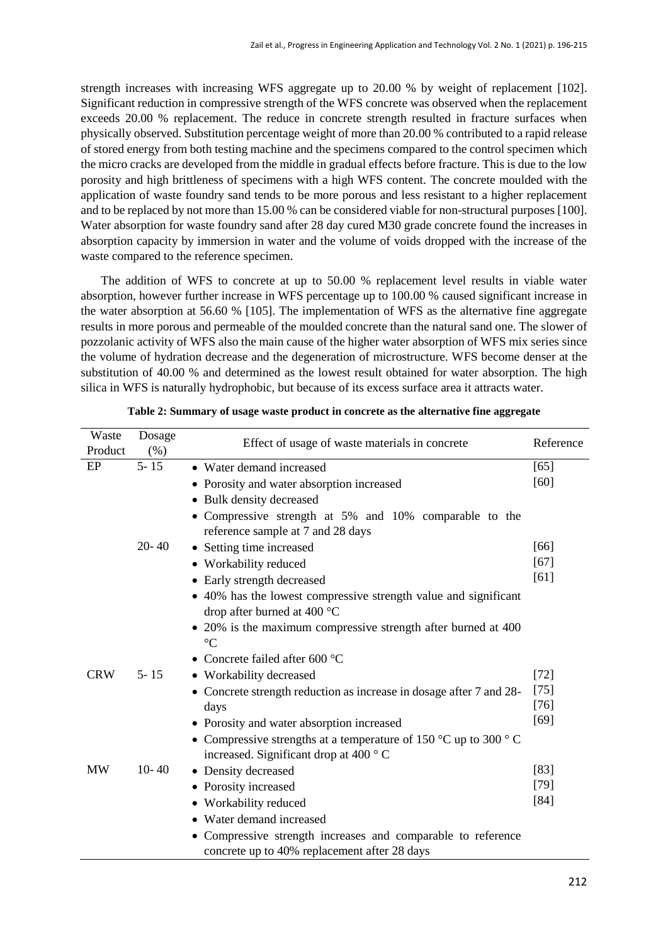strength increases with increasing WFS aggregate up to 20.00 % by weight of replacement [102]. Significant reduction in compressive strength of the WFS concrete was observed when the replacement exceeds 20.00 % replacement. The reduce in concrete strength resulted in fracture surfaces when physically observed. Substitution percentage weight of more than 20.00 % contributed to a rapid release of stored energy from both testing machine and the specimens compared to the control specimen which the micro cracks are developed from the middle in gradual effects before fracture. This is due to the low porosity and high brittleness of specimens with a high WFS content. The concrete moulded with the application of waste foundry sand tends to be more porous and less resistant to a higher replacement and to be replaced by not more than 15.00 % can be considered viable for non-structural purposes [100]. Water absorption for waste foundry sand after 28 day cured M30 grade concrete found the increases in absorption capacity by immersion in water and the volume of voids dropped with the increase of the waste compared to the reference specimen.

The addition of WFS to concrete at up to 50.00 % replacement level results in viable water absorption, however further increase in WFS percentage up to 100.00 % caused significant increase in the water absorption at 56.60 % [105]. The implementation of WFS as the alternative fine aggregate results in more porous and permeable of the moulded concrete than the natural sand one. The slower of pozzolanic activity of WFS also the main cause of the higher water absorption of WFS mix series since the volume of hydration decrease and the degeneration of microstructure. WFS become denser at the substitution of 40.00 % and determined as the lowest result obtained for water absorption. The high silica in WFS is naturally hydrophobic, but because of its excess surface area it attracts water.

| Waste<br>Product | Dosage<br>(% ) | Effect of usage of waste materials in concrete                                      | Reference |
|------------------|----------------|-------------------------------------------------------------------------------------|-----------|
| EP               | $5 - 15$       | • Water demand increased                                                            | $[65]$    |
|                  |                | • Porosity and water absorption increased                                           | [60]      |
|                  |                | • Bulk density decreased                                                            |           |
|                  |                | Compressive strength at 5% and 10% comparable to the                                |           |
|                  |                | reference sample at 7 and 28 days                                                   |           |
|                  | $20 - 40$      | • Setting time increased                                                            | [66]      |
|                  |                | • Workability reduced                                                               | $[67]$    |
|                  |                | Early strength decreased                                                            | [61]      |
|                  |                | • 40% has the lowest compressive strength value and significant                     |           |
|                  |                | drop after burned at 400 $^{\circ}$ C                                               |           |
|                  |                | • 20% is the maximum compressive strength after burned at 400                       |           |
|                  |                | $\rm ^{\circ}C$                                                                     |           |
|                  |                | • Concrete failed after 600 $^{\circ}$ C                                            |           |
| <b>CRW</b>       | $5 - 15$       | • Workability decreased                                                             | $[72]$    |
|                  |                | • Concrete strength reduction as increase in dosage after 7 and 28-                 | $[75]$    |
|                  |                | days                                                                                | $[76]$    |
|                  |                | • Porosity and water absorption increased                                           | [69]      |
|                  |                | • Compressive strengths at a temperature of 150 $^{\circ}$ C up to 300 $^{\circ}$ C |           |
|                  |                | increased. Significant drop at 400 °C                                               |           |
| <b>MW</b>        | $10 - 40$      | • Density decreased                                                                 | [83]      |
|                  |                | • Porosity increased                                                                | $[79]$    |
|                  |                | • Workability reduced                                                               | $[84]$    |
|                  |                | • Water demand increased                                                            |           |
|                  |                | Compressive strength increases and comparable to reference                          |           |
|                  |                | concrete up to 40% replacement after 28 days                                        |           |

**Table 2: Summary of usage waste product in concrete as the alternative fine aggregate**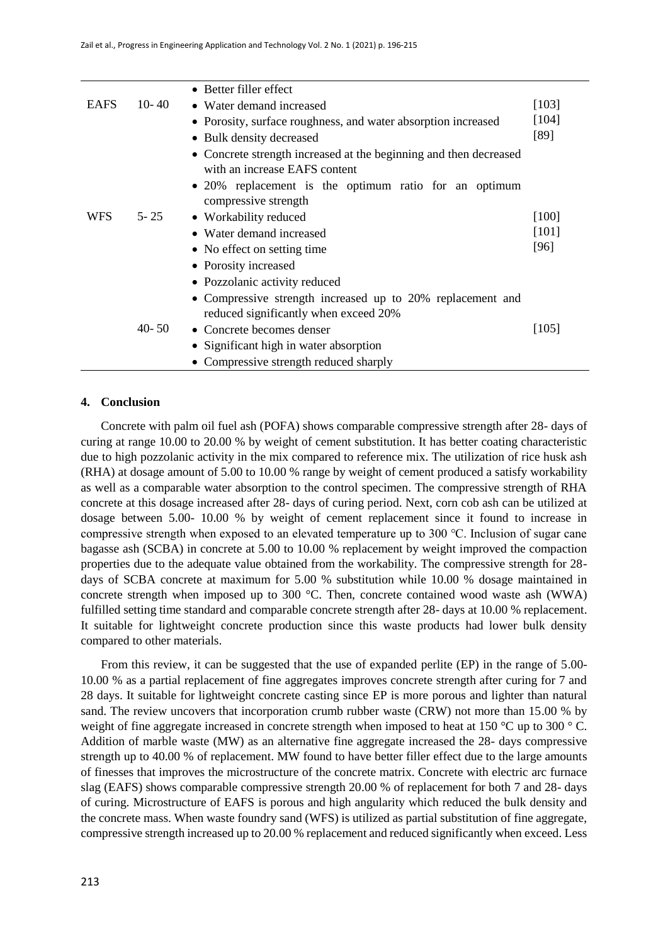|             |           | • Better filler effect                                            |         |
|-------------|-----------|-------------------------------------------------------------------|---------|
| <b>EAFS</b> | 10 - 40   | • Water demand increased                                          | $[103]$ |
|             |           | • Porosity, surface roughness, and water absorption increased     | $[104]$ |
|             |           | • Bulk density decreased                                          | [89]    |
|             |           | • Concrete strength increased at the beginning and then decreased |         |
|             |           | with an increase EAFS content                                     |         |
|             |           | • 20% replacement is the optimum ratio for an optimum             |         |
|             |           | compressive strength                                              |         |
| <b>WFS</b>  | $5 - 25$  | • Workability reduced                                             | $[100]$ |
|             |           | • Water demand increased                                          | $[101]$ |
|             |           | • No effect on setting time                                       | [96]    |
|             |           | • Porosity increased                                              |         |
|             |           | • Pozzolanic activity reduced                                     |         |
|             |           | • Compressive strength increased up to 20% replacement and        |         |
|             |           | reduced significantly when exceed 20%                             |         |
|             | $40 - 50$ | • Concrete becomes denser                                         | $[105]$ |
|             |           | • Significant high in water absorption                            |         |
|             |           | • Compressive strength reduced sharply                            |         |

## **4. Conclusion**

Concrete with palm oil fuel ash (POFA) shows comparable compressive strength after 28- days of curing at range 10.00 to 20.00 % by weight of cement substitution. It has better coating characteristic due to high pozzolanic activity in the mix compared to reference mix. The utilization of rice husk ash (RHA) at dosage amount of 5.00 to 10.00 % range by weight of cement produced a satisfy workability as well as a comparable water absorption to the control specimen. The compressive strength of RHA concrete at this dosage increased after 28- days of curing period. Next, corn cob ash can be utilized at dosage between 5.00- 10.00 % by weight of cement replacement since it found to increase in compressive strength when exposed to an elevated temperature up to 300 ℃. Inclusion of sugar cane bagasse ash (SCBA) in concrete at 5.00 to 10.00 % replacement by weight improved the compaction properties due to the adequate value obtained from the workability. The compressive strength for 28 days of SCBA concrete at maximum for 5.00 % substitution while 10.00 % dosage maintained in concrete strength when imposed up to 300 °C. Then, concrete contained wood waste ash (WWA) fulfilled setting time standard and comparable concrete strength after 28- days at 10.00 % replacement. It suitable for lightweight concrete production since this waste products had lower bulk density compared to other materials.

From this review, it can be suggested that the use of expanded perlite (EP) in the range of 5.00- 10.00 % as a partial replacement of fine aggregates improves concrete strength after curing for 7 and 28 days. It suitable for lightweight concrete casting since EP is more porous and lighter than natural sand. The review uncovers that incorporation crumb rubber waste (CRW) not more than 15.00 % by weight of fine aggregate increased in concrete strength when imposed to heat at 150 °C up to 300 °C. Addition of marble waste (MW) as an alternative fine aggregate increased the 28- days compressive strength up to 40.00 % of replacement. MW found to have better filler effect due to the large amounts of finesses that improves the microstructure of the concrete matrix. Concrete with electric arc furnace slag (EAFS) shows comparable compressive strength 20.00 % of replacement for both 7 and 28- days of curing. Microstructure of EAFS is porous and high angularity which reduced the bulk density and the concrete mass. When waste foundry sand (WFS) is utilized as partial substitution of fine aggregate, compressive strength increased up to 20.00 % replacement and reduced significantly when exceed. Less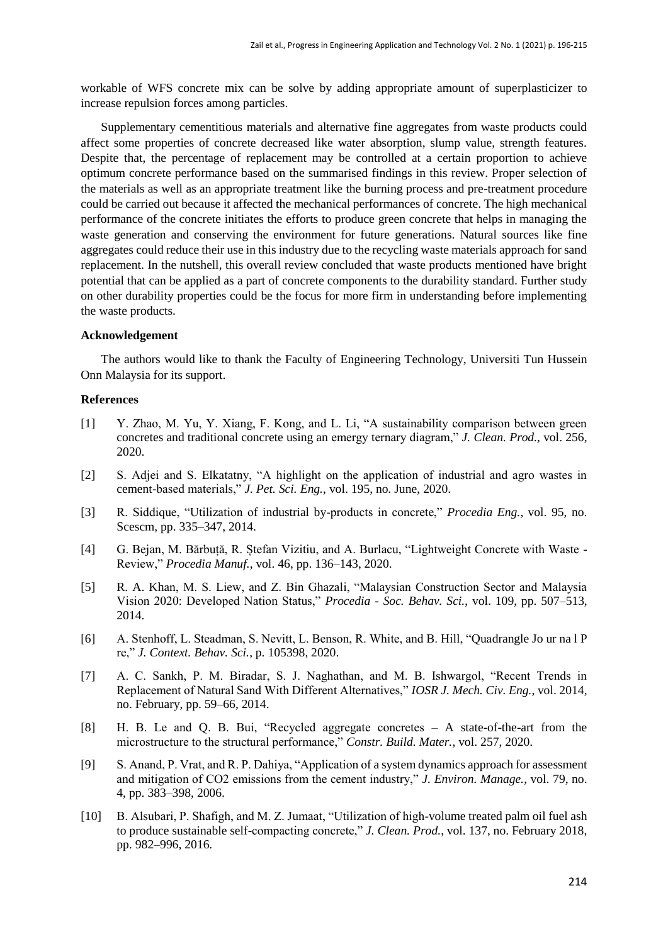workable of WFS concrete mix can be solve by adding appropriate amount of superplasticizer to increase repulsion forces among particles.

Supplementary cementitious materials and alternative fine aggregates from waste products could affect some properties of concrete decreased like water absorption, slump value, strength features. Despite that, the percentage of replacement may be controlled at a certain proportion to achieve optimum concrete performance based on the summarised findings in this review. Proper selection of the materials as well as an appropriate treatment like the burning process and pre-treatment procedure could be carried out because it affected the mechanical performances of concrete. The high mechanical performance of the concrete initiates the efforts to produce green concrete that helps in managing the waste generation and conserving the environment for future generations. Natural sources like fine aggregates could reduce their use in this industry due to the recycling waste materials approach for sand replacement. In the nutshell, this overall review concluded that waste products mentioned have bright potential that can be applied as a part of concrete components to the durability standard. Further study on other durability properties could be the focus for more firm in understanding before implementing the waste products.

### **Acknowledgement**

The authors would like to thank the Faculty of Engineering Technology, Universiti Tun Hussein Onn Malaysia for its support.

# **References**

- [1] Y. Zhao, M. Yu, Y. Xiang, F. Kong, and L. Li, "A sustainability comparison between green concretes and traditional concrete using an emergy ternary diagram," *J. Clean. Prod.*, vol. 256, 2020.
- [2] S. Adjei and S. Elkatatny, "A highlight on the application of industrial and agro wastes in cement-based materials," *J. Pet. Sci. Eng.*, vol. 195, no. June, 2020.
- [3] R. Siddique, "Utilization of industrial by-products in concrete," *Procedia Eng.*, vol. 95, no. Scescm, pp. 335–347, 2014.
- [4] G. Bejan, M. Bărbuță, R. Ștefan Vizitiu, and A. Burlacu, "Lightweight Concrete with Waste Review," *Procedia Manuf.*, vol. 46, pp. 136–143, 2020.
- [5] R. A. Khan, M. S. Liew, and Z. Bin Ghazali, "Malaysian Construction Sector and Malaysia Vision 2020: Developed Nation Status," *Procedia - Soc. Behav. Sci.*, vol. 109, pp. 507–513, 2014.
- [6] A. Stenhoff, L. Steadman, S. Nevitt, L. Benson, R. White, and B. Hill, "Quadrangle Jo ur na l P re," *J. Context. Behav. Sci.*, p. 105398, 2020.
- [7] A. C. Sankh, P. M. Biradar, S. J. Naghathan, and M. B. Ishwargol, "Recent Trends in Replacement of Natural Sand With Different Alternatives," *IOSR J. Mech. Civ. Eng.*, vol. 2014, no. February, pp. 59–66, 2014.
- [8] H. B. Le and Q. B. Bui, "Recycled aggregate concretes A state-of-the-art from the microstructure to the structural performance," *Constr. Build. Mater.*, vol. 257, 2020.
- [9] S. Anand, P. Vrat, and R. P. Dahiya, "Application of a system dynamics approach for assessment and mitigation of CO2 emissions from the cement industry," *J. Environ. Manage.*, vol. 79, no. 4, pp. 383–398, 2006.
- [10] B. Alsubari, P. Shafigh, and M. Z. Jumaat, "Utilization of high-volume treated palm oil fuel ash to produce sustainable self-compacting concrete," *J. Clean. Prod.*, vol. 137, no. February 2018, pp. 982–996, 2016.